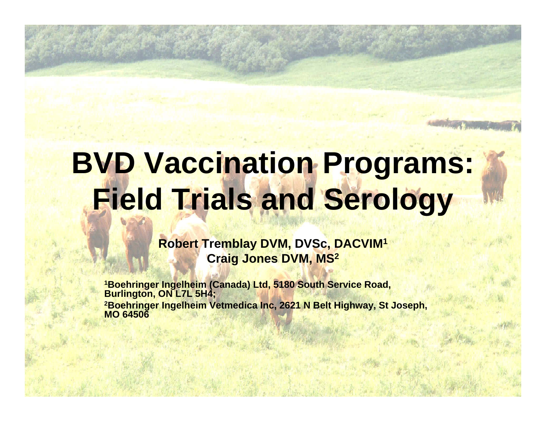# **BVD Vaccination Programs: Field Trials and Serology**

**Robert Tremblay DVM, DVSc, DACVIM<sup>1</sup> Craig Jones DVM, MS 2**

**1Boehringer Ingelheim (Canada) Ltd, 5180 South Service Road, Burlington, ON L7L 5H4; 2Boehringer Ingelheim Vetmedica Inc, 2621 N Belt Highway, St Joseph, MO 64506**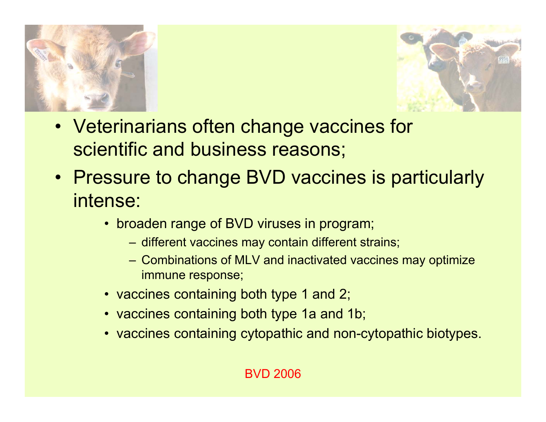



- Veterinarians often change vaccines for scientific and business reasons;
- Pressure to change BVD vaccines is particularly intense:
	- broaden range of BVD viruses in program;
		- different vaccines may contain different strains;
		- Combinations of MLV and inactivated vaccines may optimize immune response;
	- vaccines containing both type 1 and 2;
	- vaccines containing both type 1a and 1b;
	- vaccines containing cytopathic and non-cytopathic biotypes.

#### BVD 2006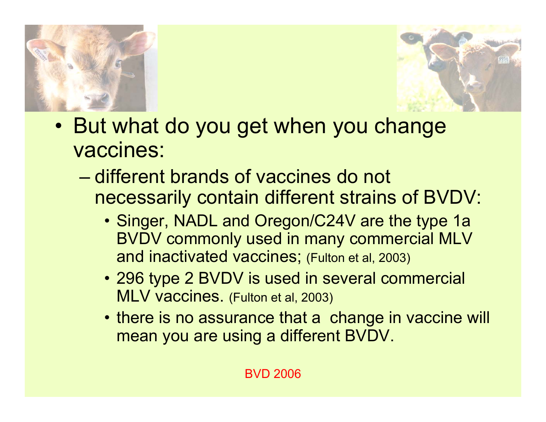



- But what do you get when you change vaccines:
	- different brands of vaccines do not necessarily contain different strains of BVDV:
		- Singer, NADL and Oregon/C24V are the type 1a BVDV commonly used in many commercial MLV and inactivated vaccines; (Fulton et al, 2003)
		- 296 type 2 BVDV is used in several commercial MLV vaccines. (Fulton et al, 2003)
		- there is no assurance that a change in vaccine will mean you are using a different BVDV.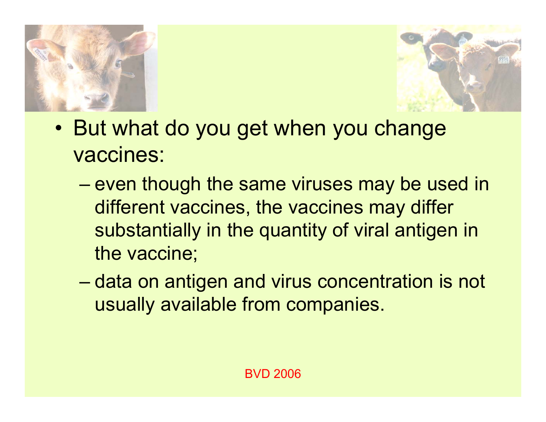



- But what do you get when you change vaccines:
	- $-$  even though the same viruses may be used in  $\,$ different vaccines, the vaccines may differ substantially in the quantity of viral antigen in the vaccine;
	- –– data on antigen and virus concentration is not usually available from companies.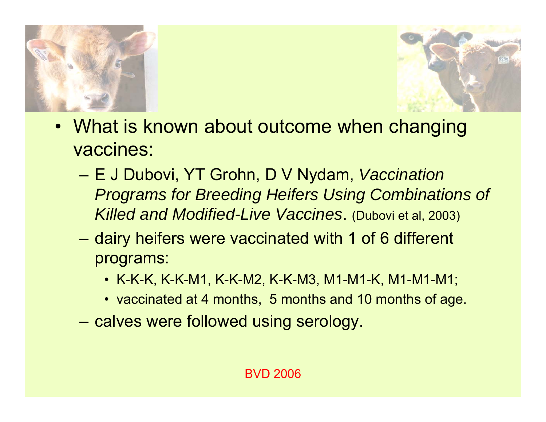



- What is known about outcome when changing vaccines:
	- – E J Dubovi, YT Grohn, D V Nydam, *Vaccination Programs for Breeding Heifers Using Combinations of Killed and Modified-Live Vaccines*. (Dubovi et al, 2003)
	- –– dairy heifers were vaccinated with 1 of 6 different programs:
		- K-K-K, K-K-M1, K-K-M2, K-K-M3, M1-M1-K, M1-M1-M1;
		- vaccinated at 4 months, 5 months and 10 months of age.
	- –- calves were followed using serology.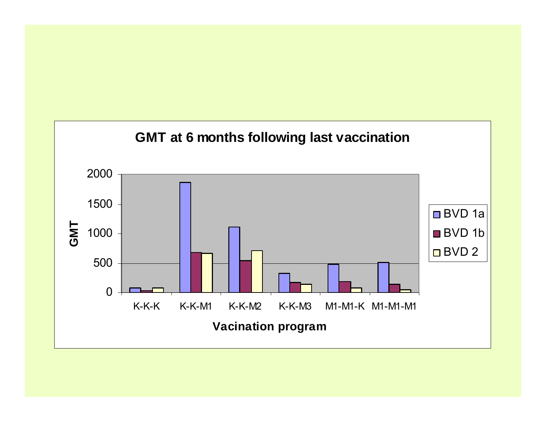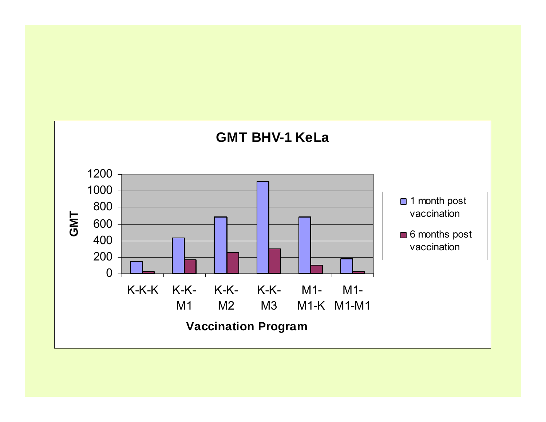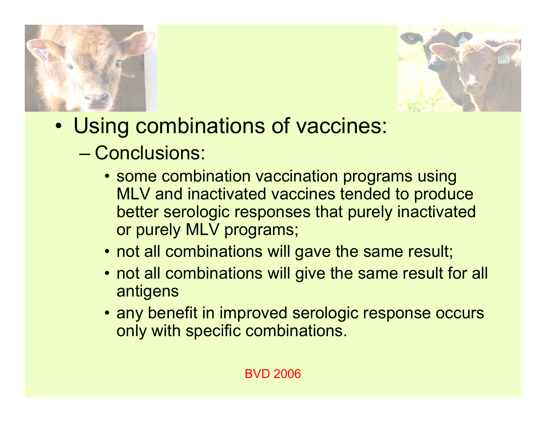



- • Using combinations of vaccines:
	- Conclusions:
		- some combination vaccination programs using MLV and inactivated vaccines tended to produce better serologic responses that purely inactivated or purely MLV programs;
		- not all combinations will gave the same result;
		- not all combinations will give the same result for all antigens
		- any benefit in improved serologic response occurs only with specific combinations.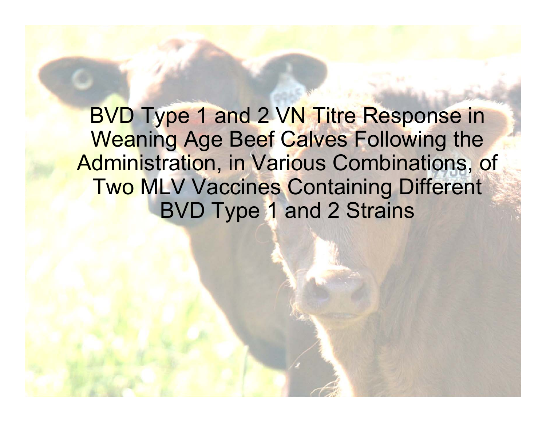BVD Type 1 and 2 VN Titre Response in Weaning Age Beef Calves Following the Administration, in Various Combinations, of Two MLV Vaccines Containing Different BVD Type 1 and 2 Strains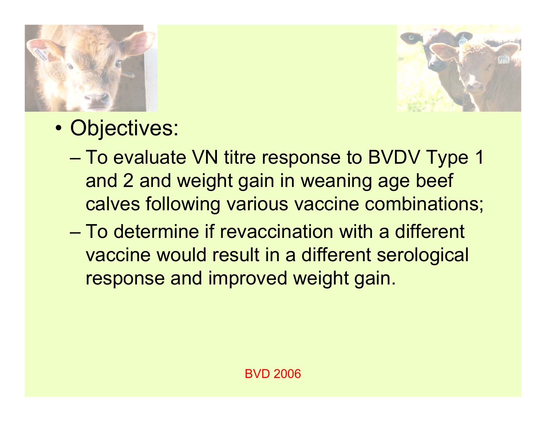



- • Objectives:
	- To evaluate VN titre response to BVDV Type 1 and 2 and weight gain in weaning age beef calves following various vaccine combinations;
	- To determine if revaccination with a different vaccine would result in a different serological response and improved weight gain.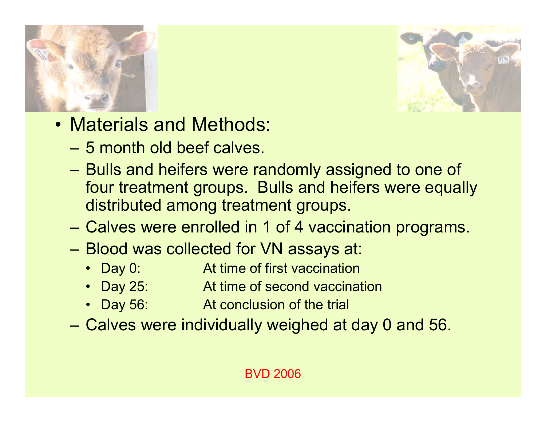



- Materials and Methods:
	- 5 month old beef calves.
	- **2000**  Bulls and heifers were randomly assigned to one of four treatment groups. Bulls and heifers were equally distributed among treatment groups.
	- Calves were enrolled in 1 of 4 vaccination programs.
	- Blood was collected for VN assays at:
		- Day 0: At time of first vaccination
		- Day 25: At time of second vaccination
		- Day 56: **EXECONCLUSION Of the trial**
	- Calves were individually weighed at day 0 and 56.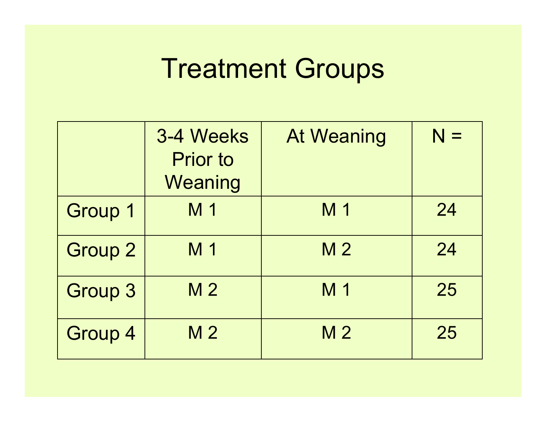#### Treatment Groups

|                | 3-4 Weeks<br><b>Prior to</b><br>Weaning | <b>At Weaning</b> | $N =$ |
|----------------|-----------------------------------------|-------------------|-------|
| Group 1        | M 1                                     | M 1               | 24    |
| <b>Group 2</b> | M 1                                     | M <sub>2</sub>    | 24    |
| <b>Group 3</b> | M <sub>2</sub>                          | M 1               | 25    |
| Group 4        | M <sub>2</sub>                          | M <sub>2</sub>    | 25    |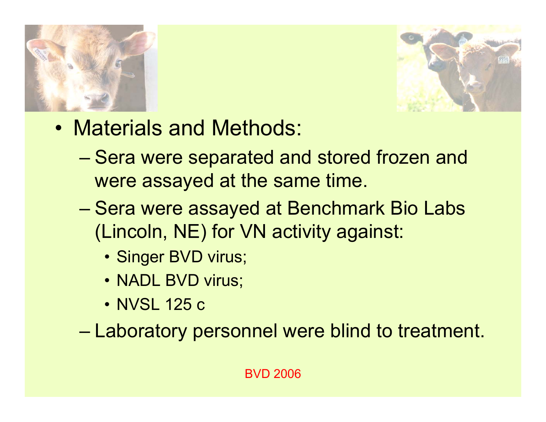



- Materials and Methods:
	- –– Sera were separated and stored frozen and were assayed at the same time.
	- –– Sera were assayed at Benchmark Bio Labs (Lincoln, NE) for VN activity against:
		- Singer BVD virus;
		- NADL BVD virus;
		- NVSL 125 c

–Laboratory personnel were blind to treatment.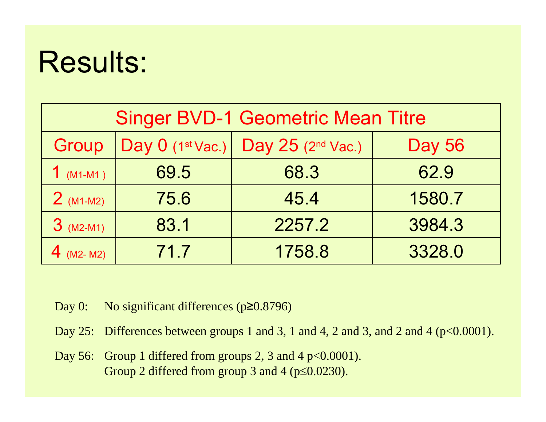| <b>Singer BVD-1 Geometric Mean Titre</b> |                    |                               |               |  |  |
|------------------------------------------|--------------------|-------------------------------|---------------|--|--|
| Group                                    | Day $0$ (1st Vac.) | Day 25 (2 <sup>nd</sup> Vac.) | <b>Day 56</b> |  |  |
| $1$ (M1-M1)                              | 69.5               | 68.3                          | 62.9          |  |  |
| $2$ (M1-M2)                              | 75.6               | 45.4                          | 1580.7        |  |  |
| $3$ (M2-M1)                              | 83.1               | 2257.2                        | 3984.3        |  |  |
| 4 (M2- M2)                               | 71.7               | 1758.8                        | 3328.0        |  |  |

Day 0: No significant differences (p≥0.8796)

- Day 25: Differences between groups 1 and 3, 1 and 4, 2 and 3, and 2 and 4 (p<0.0001).
- Day 56: Group 1 differed from groups 2, 3 and 4 p<0.0001). Group 2 differed from group 3 and 4 (p≤0.0230).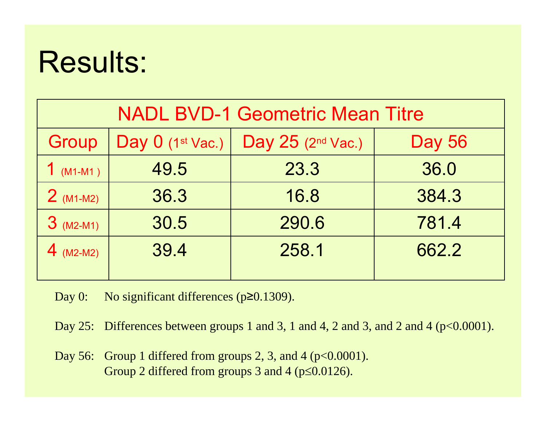| <b>NADL BVD-1 Geometric Mean Titre</b> |                    |                                 |               |  |  |
|----------------------------------------|--------------------|---------------------------------|---------------|--|--|
| Group                                  | Day $0$ (1st Vac.) | Day $25$ (2 <sup>nd</sup> Vac.) | <b>Day 56</b> |  |  |
| $(M1-M1)$                              | 49.5               | 23.3                            | 36.0          |  |  |
| $2$ (M1-M2)                            | 36.3               | 16.8                            | 384.3         |  |  |
| $3$ (M2-M1)                            | 30.5               | 290.6                           | 781.4         |  |  |
| 4 $(M2-M2)$                            | 39.4               | 258.1                           | 662.2         |  |  |

Day 0: No significant differences (p≥0.1309).

Day 25: Differences between groups 1 and 3, 1 and 4, 2 and 3, and 2 and 4 (p<0.0001).

Day 56: Group 1 differed from groups 2, 3, and 4 ( $p<0.0001$ ). Group 2 differed from groups 3 and 4 (p≤0.0126).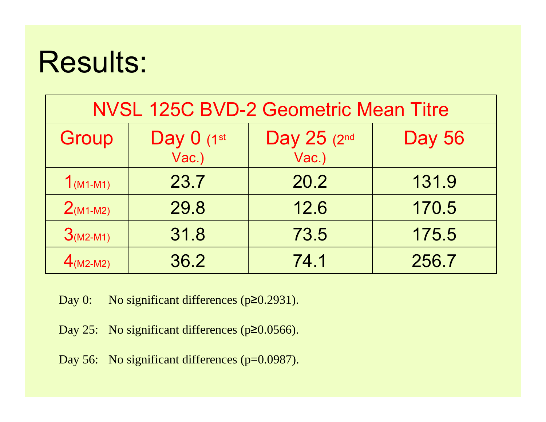| <b>NVSL 125C BVD-2 Geometric Mean Titre</b> |                     |                      |               |  |  |
|---------------------------------------------|---------------------|----------------------|---------------|--|--|
| Group                                       | Day 0 (1st<br>Vac.) | Day 25 (2nd<br>Vac.) | <b>Day 56</b> |  |  |
| $1_{(M1-M1)}$                               | 23.7                | 20.2                 | 131.9         |  |  |
| $2(M1-M2)$                                  | 29.8                | 12.6                 | 170.5         |  |  |
| $3(M2-M1)$                                  | 31.8                | 73.5                 | 175.5         |  |  |
| $4(M2-M2)$                                  | 36.2                | 74.1                 | 256.7         |  |  |

Day 0: No significant differences (p≥0.2931).

Day 25: No significant differences (p≥0.0566).

Day 56: No significant differences (p=0.0987).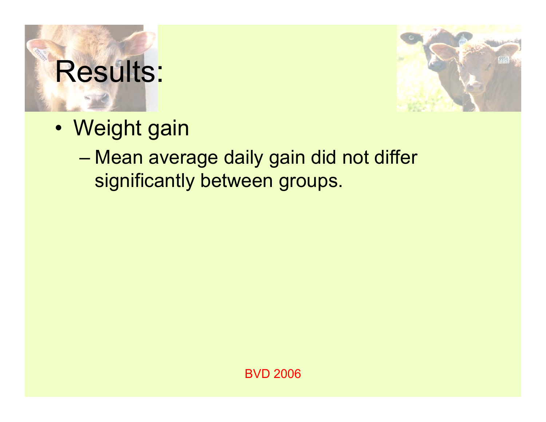

- Weight gain
	- – Mean average daily gain did not differ significantly between groups.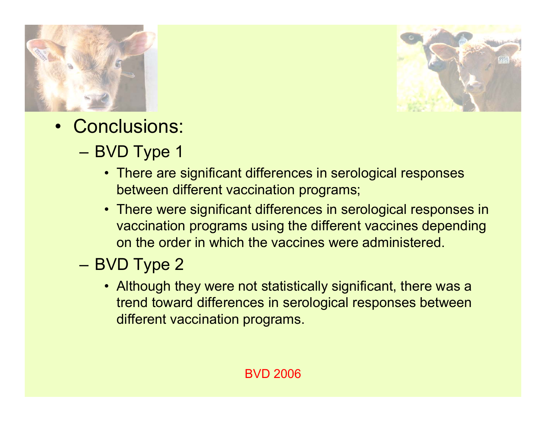



- Conclusions:
	- –– BVD Type 1
		- There are significant differences in serological responses between different vaccination programs;
		- There were significant differences in serological responses in vaccination programs using the different vaccines depending on the order in which the vaccines were administered.
	- – BVD Type 2
		- Although they were not statistically significant, there was a trend toward differences in serological responses between different vaccination programs.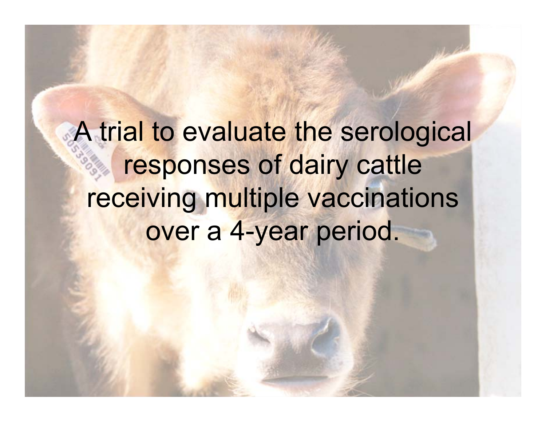A trial to evaluate the serological responses of dairy cattle receiving multiple vaccinations over a 4-year period.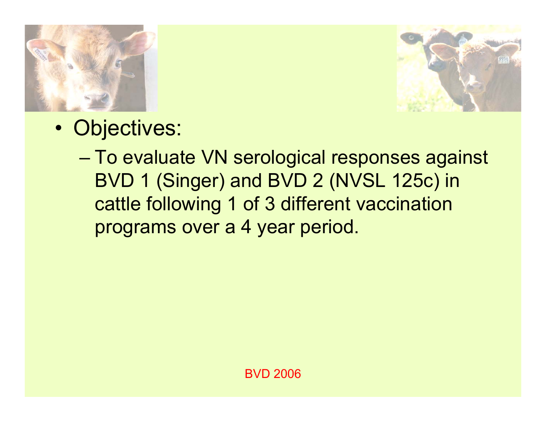



•• Objectives:

> – To evaluate VN serological responses against BVD 1 (Singer) and BVD 2 (NVSL 125c) in cattle following 1 of 3 different vaccination programs over a 4 year period.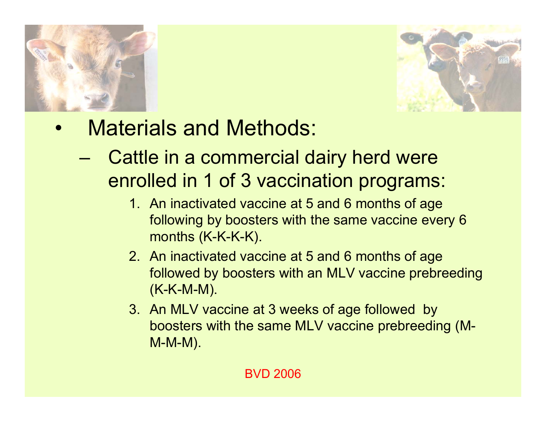



- • Materials and Methods:
	- – Cattle in a commercial dairy herd were enrolled in 1 of 3 vaccination programs:
		- 1. An inactivated vaccine at 5 and 6 months of age following by boosters with the same vaccine every 6 months (K-K-K-K).
		- 2. An inactivated vaccine at 5 and 6 months of age followed by boosters with an MLV vaccine prebreeding (K-K-M-M).
		- 3. An MLV vaccine at 3 weeks of age followed by boosters with the same MLV vaccine prebreeding (M-M-M-M).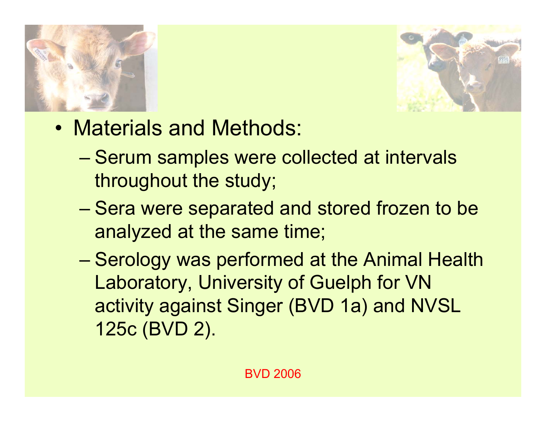



- Materials and Methods:
	- –– Serum samples were collected at intervals throughout the study;
	- –– Sera were separated and stored frozen to be analyzed at the same time;
	- Serology was performed at the Animal Health Laboratory, University of Guelph for VN activity against Singer (BVD 1a) and NVSL 125c (BVD 2).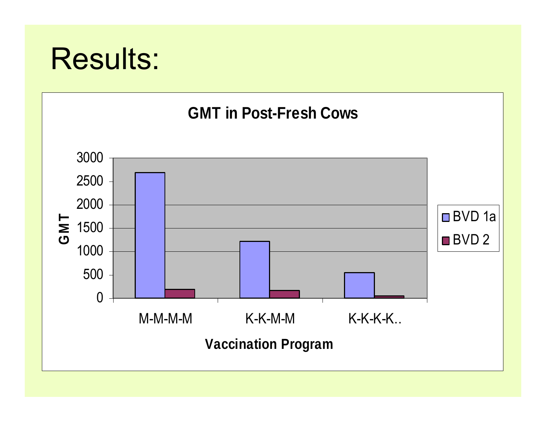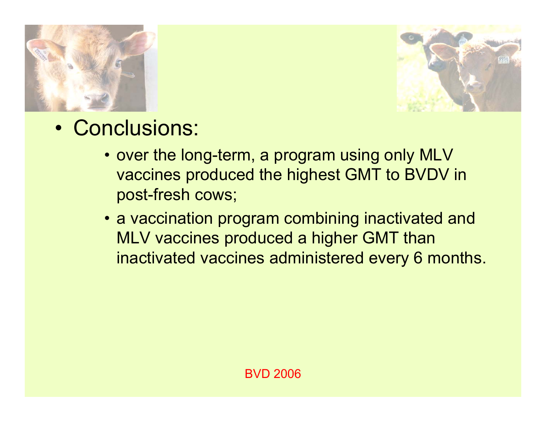



- Conclusions:
	- over the long-term, a program using only MLV vaccines produced the highest GMT to BVDV in post-fresh cows;
	- a vaccination program combining inactivated and MLV vaccines produced a higher GMT than inactivated vaccines administered every 6 months.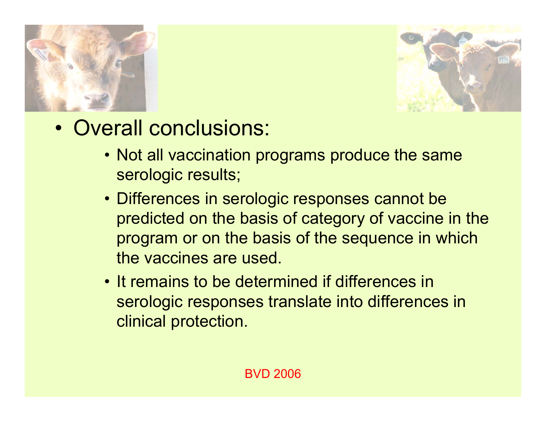



- Overall conclusions:
	- Not all vaccination programs produce the same serologic results;
	- Differences in serologic responses cannot be predicted on the basis of category of vaccine in the program or on the basis of the sequence in which the vaccines are used.
	- It remains to be determined if differences in serologic responses translate into differences in clinical protection.